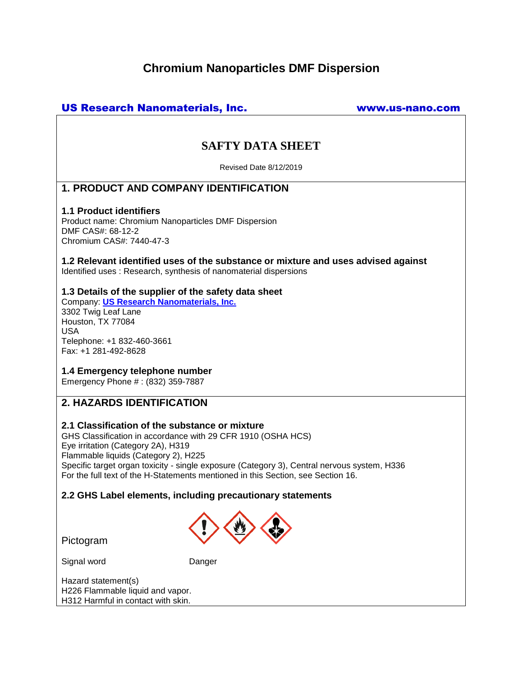# **Chromium Nanoparticles DMF Dispersion**

# US Research Nanomaterials, Inc. www.us-nano.com

# **SAFTY DATA SHEET**

Revised Date 8/12/2019

# **1. PRODUCT AND COMPANY IDENTIFICATION**

### **1.1 Product identifiers**

Product name: Chromium Nanoparticles DMF Dispersion DMF CAS#: 68-12-2 Chromium CAS#: 7440-47-3

**1.2 Relevant identified uses of the substance or mixture and uses advised against** Identified uses : Research, synthesis of nanomaterial dispersions

## **1.3 Details of the supplier of the safety data sheet**

Company: **[US Research Nanomaterials, Inc.](http://www.us-nano.com/)** 3302 Twig Leaf Lane Houston, TX 77084 USA Telephone: +1 832-460-3661 Fax: +1 281-492-8628

## **1.4 Emergency telephone number**

Emergency Phone # : (832) 359-7887

## **2. HAZARDS IDENTIFICATION**

## **2.1 Classification of the substance or mixture**

GHS Classification in accordance with 29 CFR 1910 (OSHA HCS) Eye irritation (Category 2A), H319 Flammable liquids (Category 2), H225 Specific target organ toxicity - single exposure (Category 3), Central nervous system, H336 For the full text of the H-Statements mentioned in this Section, see Section 16.

## **2.2 GHS Label elements, including precautionary statements**



Pictogram

Signal word Danger

Hazard statement(s) H226 Flammable liquid and vapor. H312 Harmful in contact with skin.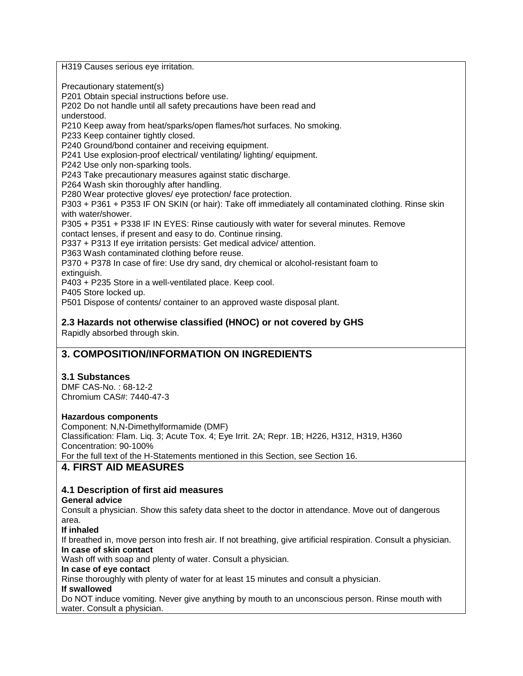H319 Causes serious eye irritation.

Precautionary statement(s)

P201 Obtain special instructions before use.

P202 Do not handle until all safety precautions have been read and

understood.

P210 Keep away from heat/sparks/open flames/hot surfaces. No smoking.

P233 Keep container tightly closed.

P240 Ground/bond container and receiving equipment.

P241 Use explosion-proof electrical/ ventilating/ lighting/ equipment.

P242 Use only non-sparking tools.

P243 Take precautionary measures against static discharge.

P264 Wash skin thoroughly after handling.

P280 Wear protective gloves/ eye protection/ face protection.

P303 + P361 + P353 IF ON SKIN (or hair): Take off immediately all contaminated clothing. Rinse skin with water/shower.

P305 + P351 + P338 IF IN EYES: Rinse cautiously with water for several minutes. Remove

contact lenses, if present and easy to do. Continue rinsing.

P337 + P313 If eye irritation persists: Get medical advice/ attention.

P363 Wash contaminated clothing before reuse.

P370 + P378 In case of fire: Use dry sand, dry chemical or alcohol-resistant foam to extinguish.

P403 + P235 Store in a well-ventilated place. Keep cool.

P405 Store locked up.

P501 Dispose of contents/ container to an approved waste disposal plant.

## **2.3 Hazards not otherwise classified (HNOC) or not covered by GHS**

Rapidly absorbed through skin.

# **3. COMPOSITION/INFORMATION ON INGREDIENTS**

## **3.1 Substances**

DMF CAS-No. : 68-12-2 Chromium CAS#: 7440-47-3

#### **Hazardous components**

Component: N,N-Dimethylformamide (DMF) Classification: Flam. Liq. 3; Acute Tox. 4; Eye Irrit. 2A; Repr. 1B; H226, H312, H319, H360 Concentration: 90-100% For the full text of the H-Statements mentioned in this Section, see Section 16.

## **4. FIRST AID MEASURES**

## **4.1 Description of first aid measures**

## **General advice**

Consult a physician. Show this safety data sheet to the doctor in attendance. Move out of dangerous area.

## **If inhaled**

If breathed in, move person into fresh air. If not breathing, give artificial respiration. Consult a physician. **In case of skin contact**

Wash off with soap and plenty of water. Consult a physician.

#### **In case of eye contact**

Rinse thoroughly with plenty of water for at least 15 minutes and consult a physician.

#### **If swallowed**

Do NOT induce vomiting. Never give anything by mouth to an unconscious person. Rinse mouth with water. Consult a physician.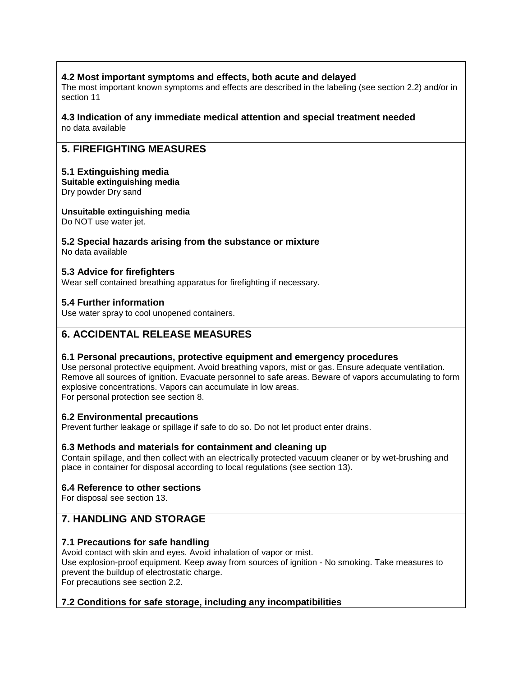## **4.2 Most important symptoms and effects, both acute and delayed**

The most important known symptoms and effects are described in the labeling (see section 2.2) and/or in section 11

#### **4.3 Indication of any immediate medical attention and special treatment needed** no data available

# **5. FIREFIGHTING MEASURES**

## **5.1 Extinguishing media**

**Suitable extinguishing media** Dry powder Dry sand

**Unsuitable extinguishing media**

Do NOT use water jet.

# **5.2 Special hazards arising from the substance or mixture**

No data available

## **5.3 Advice for firefighters**

Wear self contained breathing apparatus for firefighting if necessary.

## **5.4 Further information**

Use water spray to cool unopened containers.

# **6. ACCIDENTAL RELEASE MEASURES**

## **6.1 Personal precautions, protective equipment and emergency procedures**

Use personal protective equipment. Avoid breathing vapors, mist or gas. Ensure adequate ventilation. Remove all sources of ignition. Evacuate personnel to safe areas. Beware of vapors accumulating to form explosive concentrations. Vapors can accumulate in low areas. For personal protection see section 8.

## **6.2 Environmental precautions**

Prevent further leakage or spillage if safe to do so. Do not let product enter drains.

## **6.3 Methods and materials for containment and cleaning up**

Contain spillage, and then collect with an electrically protected vacuum cleaner or by wet-brushing and place in container for disposal according to local regulations (see section 13).

## **6.4 Reference to other sections**

For disposal see section 13.

# **7. HANDLING AND STORAGE**

## **7.1 Precautions for safe handling**

Avoid contact with skin and eyes. Avoid inhalation of vapor or mist. Use explosion-proof equipment. Keep away from sources of ignition - No smoking. Take measures to prevent the buildup of electrostatic charge. For precautions see section 2.2.

## **7.2 Conditions for safe storage, including any incompatibilities**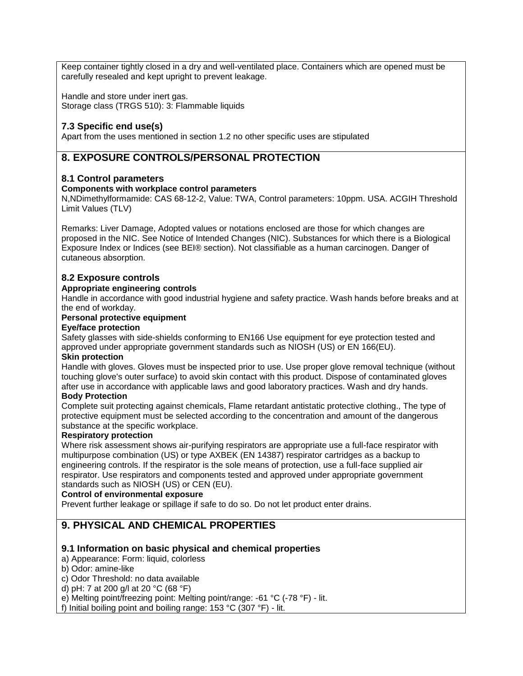Keep container tightly closed in a dry and well-ventilated place. Containers which are opened must be carefully resealed and kept upright to prevent leakage.

Handle and store under inert gas. Storage class (TRGS 510): 3: Flammable liquids

## **7.3 Specific end use(s)**

Apart from the uses mentioned in section 1.2 no other specific uses are stipulated

# **8. EXPOSURE CONTROLS/PERSONAL PROTECTION**

#### **8.1 Control parameters**

#### **Components with workplace control parameters**

N,NDimethylformamide: CAS 68-12-2, Value: TWA, Control parameters: 10ppm. USA. ACGIH Threshold Limit Values (TLV)

Remarks: Liver Damage, Adopted values or notations enclosed are those for which changes are proposed in the NIC. See Notice of Intended Changes (NIC). Substances for which there is a Biological Exposure Index or Indices (see BEI® section). Not classifiable as a human carcinogen. Danger of cutaneous absorption.

#### **8.2 Exposure controls**

#### **Appropriate engineering controls**

Handle in accordance with good industrial hygiene and safety practice. Wash hands before breaks and at the end of workday.

#### **Personal protective equipment**

#### **Eye/face protection**

Safety glasses with side-shields conforming to EN166 Use equipment for eye protection tested and approved under appropriate government standards such as NIOSH (US) or EN 166(EU).

#### **Skin protection**

Handle with gloves. Gloves must be inspected prior to use. Use proper glove removal technique (without touching glove's outer surface) to avoid skin contact with this product. Dispose of contaminated gloves after use in accordance with applicable laws and good laboratory practices. Wash and dry hands. **Body Protection**

Complete suit protecting against chemicals, Flame retardant antistatic protective clothing., The type of protective equipment must be selected according to the concentration and amount of the dangerous substance at the specific workplace.

#### **Respiratory protection**

Where risk assessment shows air-purifying respirators are appropriate use a full-face respirator with multipurpose combination (US) or type AXBEK (EN 14387) respirator cartridges as a backup to engineering controls. If the respirator is the sole means of protection, use a full-face supplied air respirator. Use respirators and components tested and approved under appropriate government standards such as NIOSH (US) or CEN (EU).

#### **Control of environmental exposure**

Prevent further leakage or spillage if safe to do so. Do not let product enter drains.

# **9. PHYSICAL AND CHEMICAL PROPERTIES**

## **9.1 Information on basic physical and chemical properties**

- a) Appearance: Form: liquid, colorless
- b) Odor: amine-like
- c) Odor Threshold: no data available
- d) pH: 7 at 200 g/l at 20 °C (68 °F)
- e) Melting point/freezing point: Melting point/range: -61 °C (-78 °F) lit.

f) Initial boiling point and boiling range: 153 °C (307 °F) - lit.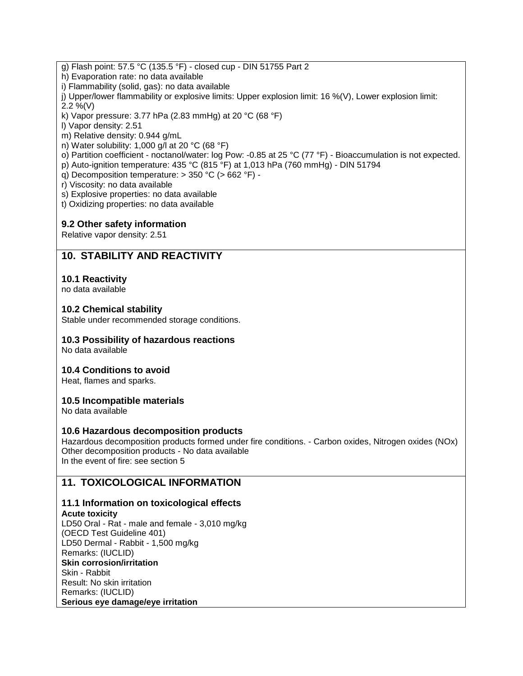- g) Flash point: 57.5 °C (135.5 °F) closed cup DIN 51755 Part 2
- h) Evaporation rate: no data available
- i) Flammability (solid, gas): no data available
- j) Upper/lower flammability or explosive limits: Upper explosion limit: 16 %(V), Lower explosion limit: 2.2 %(V)
- k) Vapor pressure: 3.77 hPa (2.83 mmHg) at 20  $^{\circ}$ C (68  $^{\circ}$ F)
- l) Vapor density: 2.51
- m) Relative density: 0.944 g/mL
- n) Water solubility: 1,000 g/l at 20 °C (68 °F)
- o) Partition coefficient noctanol/water: log Pow: -0.85 at 25 °C (77 °F) Bioaccumulation is not expected.
- p) Auto-ignition temperature: 435 °C (815 °F) at 1,013 hPa (760 mmHg) DIN 51794
- q) Decomposition temperature: > 350 °C (> 662 °F) -
- r) Viscosity: no data available
- s) Explosive properties: no data available
- t) Oxidizing properties: no data available

## **9.2 Other safety information**

Relative vapor density: 2.51

## **10. STABILITY AND REACTIVITY**

## **10.1 Reactivity**

no data available

#### **10.2 Chemical stability**

Stable under recommended storage conditions.

#### **10.3 Possibility of hazardous reactions**

No data available

#### **10.4 Conditions to avoid**

Heat, flames and sparks.

## **10.5 Incompatible materials**

No data available

#### **10.6 Hazardous decomposition products**

Hazardous decomposition products formed under fire conditions. - Carbon oxides, Nitrogen oxides (NOx) Other decomposition products - No data available In the event of fire: see section 5

# **11. TOXICOLOGICAL INFORMATION**

## **11.1 Information on toxicological effects**

**Acute toxicity** LD50 Oral - Rat - male and female - 3,010 mg/kg (OECD Test Guideline 401) LD50 Dermal - Rabbit - 1,500 mg/kg Remarks: (IUCLID) **Skin corrosion/irritation** Skin - Rabbit Result: No skin irritation Remarks: (IUCLID) **Serious eye damage/eye irritation**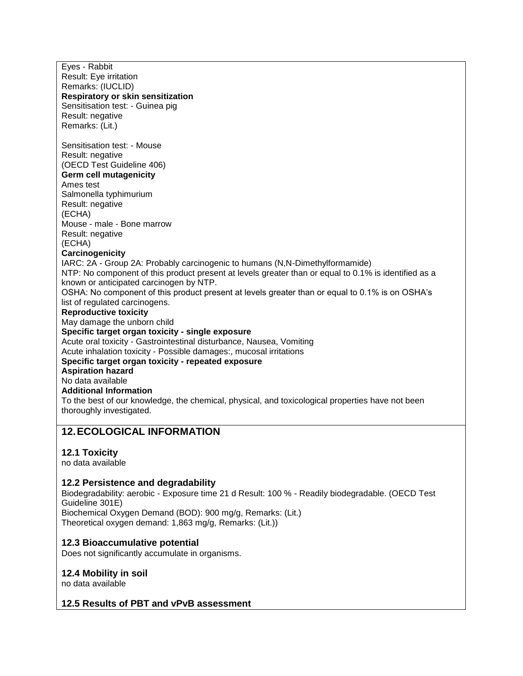Eyes - Rabbit Result: Eye irritation Remarks: (IUCLID) **Respiratory or skin sensitization** Sensitisation test: - Guinea pig Result: negative Remarks: (Lit.) Sensitisation test: - Mouse Result: negative (OECD Test Guideline 406) **Germ cell mutagenicity** Ames test Salmonella typhimurium Result: negative (ECHA) Mouse - male - Bone marrow Result: negative (ECHA) **Carcinogenicity** IARC: 2A - Group 2A: Probably carcinogenic to humans (N,N-Dimethylformamide) NTP: No component of this product present at levels greater than or equal to 0.1% is identified as a known or anticipated carcinogen by NTP. OSHA: No component of this product present at levels greater than or equal to 0.1% is on OSHA's list of regulated carcinogens. **Reproductive toxicity** May damage the unborn child **Specific target organ toxicity - single exposure** Acute oral toxicity - Gastrointestinal disturbance, Nausea, Vomiting Acute inhalation toxicity - Possible damages:, mucosal irritations **Specific target organ toxicity - repeated exposure Aspiration hazard** No data available **Additional Information** To the best of our knowledge, the chemical, physical, and toxicological properties have not been thoroughly investigated.

# **12.ECOLOGICAL INFORMATION**

## **12.1 Toxicity**

no data available

## **12.2 Persistence and degradability**

Biodegradability: aerobic - Exposure time 21 d Result: 100 % - Readily biodegradable. (OECD Test Guideline 301E) Biochemical Oxygen Demand (BOD): 900 mg/g, Remarks: (Lit.) Theoretical oxygen demand: 1,863 mg/g, Remarks: (Lit.))

## **12.3 Bioaccumulative potential**

Does not significantly accumulate in organisms.

#### **12.4 Mobility in soil**

no data available

#### **12.5 Results of PBT and vPvB assessment**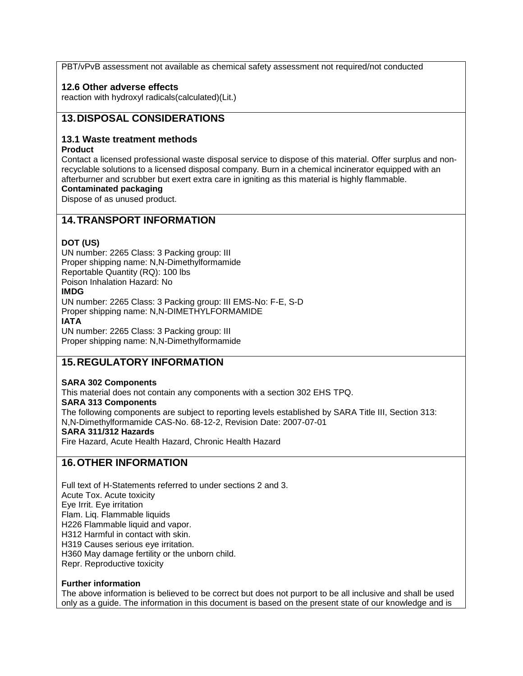PBT/vPvB assessment not available as chemical safety assessment not required/not conducted

## **12.6 Other adverse effects**

reaction with hydroxyl radicals(calculated)(Lit.)

## **13.DISPOSAL CONSIDERATIONS**

### **13.1 Waste treatment methods**

#### **Product**

Contact a licensed professional waste disposal service to dispose of this material. Offer surplus and nonrecyclable solutions to a licensed disposal company. Burn in a chemical incinerator equipped with an afterburner and scrubber but exert extra care in igniting as this material is highly flammable.

#### **Contaminated packaging**

Dispose of as unused product.

## **14.TRANSPORT INFORMATION**

#### **DOT (US)**

UN number: 2265 Class: 3 Packing group: III Proper shipping name: N,N-Dimethylformamide Reportable Quantity (RQ): 100 lbs Poison Inhalation Hazard: No **IMDG**

UN number: 2265 Class: 3 Packing group: III EMS-No: F-E, S-D Proper shipping name: N,N-DIMETHYLFORMAMIDE **IATA**

UN number: 2265 Class: 3 Packing group: III Proper shipping name: N,N-Dimethylformamide

# **15.REGULATORY INFORMATION**

#### **SARA 302 Components**

This material does not contain any components with a section 302 EHS TPQ. **SARA 313 Components** The following components are subject to reporting levels established by SARA Title III, Section 313: N,N-Dimethylformamide CAS-No. 68-12-2, Revision Date: 2007-07-01 **SARA 311/312 Hazards** Fire Hazard, Acute Health Hazard, Chronic Health Hazard

## **16.OTHER INFORMATION**

Full text of H-Statements referred to under sections 2 and 3. Acute Tox. Acute toxicity Eye Irrit. Eye irritation Flam. Liq. Flammable liquids H226 Flammable liquid and vapor. H312 Harmful in contact with skin. H319 Causes serious eye irritation. H360 May damage fertility or the unborn child. Repr. Reproductive toxicity

#### **Further information**

The above information is believed to be correct but does not purport to be all inclusive and shall be used only as a guide. The information in this document is based on the present state of our knowledge and is